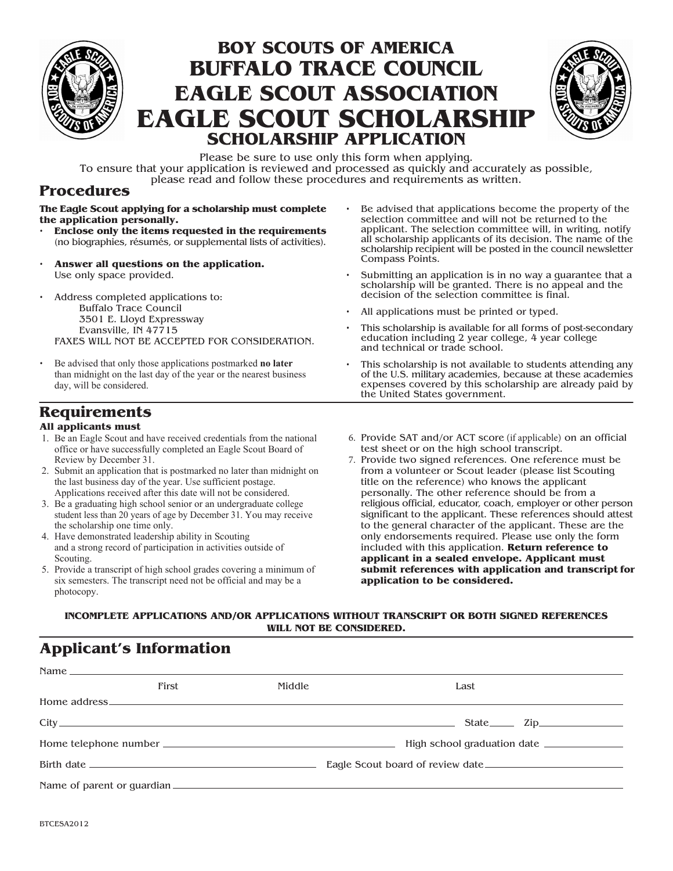

# **BOY SCOUTS OF AMERICA BUFFALO TRACE COUNCIL EAGLE SCOUT ASSOCIATION EAGLE SCOUT SCHOLARSHIP SCHOLARSHIP APPLICATION**



Please be sure to use only this form when applying.

To ensure that your application is reviewed and processed as quickly and accurately as possible, please read and follow these procedures and requirements as written.

#### **Procedures**

**The Eagle Scout applying for a scholarship must complete the application personally.**

- **Enclose only the items requested in the requirements** (no biographies, résumés, or supplemental lists of activities).
- **Answer all questions on the application.** Use only space provided.

• Address completed applications to: Buffalo Trace Council 3501 E. Lloyd Expressway Evansville, IN 47715 FAXES WILL NOT BE ACCEPTED FOR CONSIDERATION.

• Be advised that only those applications postmarked **no later** than midnight on the last day of the year or the nearest business day, will be considered.

- Be advised that applications become the property of the selection committee and will not be returned to the applicant. The selection committee will, in writing, notify all scholarship applicants of its decision. The name of the scholarship recipient will be posted in the council newsletter Compass Points.
- Submitting an application is in no way a guarantee that a scholarship will be granted. There is no appeal and the decision of the selection committee is final.
- All applications must be printed or typed.
- This scholarship is available for all forms of post-secondary education including 2 year college, 4 year college and technical or trade school.
- This scholarship is not available to students attending any of the U.S. military academies, because at these academies expenses covered by this scholarship are already paid by the United States government.

# **Requirements**

#### **All applicants must**

- 1. Be an Eagle Scout and have received credentials from the national office or have successfully completed an Eagle Scout Board of Review by December 31.
- 2. Submit an application that is postmarked no later than midnight on the last business day of the year. Use sufficient postage. Applications received after this date will not be considered.
- 3. Be a graduating high school senior or an undergraduate college student less than 20 years of age by December 31. You may receive the scholarship one time only.
- 4. Have demonstrated leadership ability in Scouting and a strong record of participation in activities outside of Scouting.
- 5. Provide a transcript of high school grades covering a minimum of six semesters. The transcript need not be official and may be a photocopy.
- 6. Provide SAT and/or ACT score (if applicable) on an official test sheet or on the high school transcript.
- 7. Provide two signed references. One reference must be from a volunteer or Scout leader (please list Scouting title on the reference) who knows the applicant personally. The other reference should be from a religious official, educator, coach, employer or other person significant to the applicant. These references should attest to the general character of the applicant. These are the only endorsements required. Please use only the form included with this application. **Return reference to applicant in a sealed envelope. Applicant must submit references with application and transcript for application to be considered.**

**INCOMPLETE APPLICATIONS AND/OR APPLICATIONS WITHOUT TRANSCRIPT OR BOTH SIGNED REFERENCES WILL NOT BE CONSIDERED.**

## **Applicant's Information**

|  | First | Middle | Last                             |  |  |
|--|-------|--------|----------------------------------|--|--|
|  |       |        |                                  |  |  |
|  |       |        | State <u>Tip</u>                 |  |  |
|  |       |        | High school graduation date      |  |  |
|  |       |        | Eagle Scout board of review date |  |  |
|  |       |        |                                  |  |  |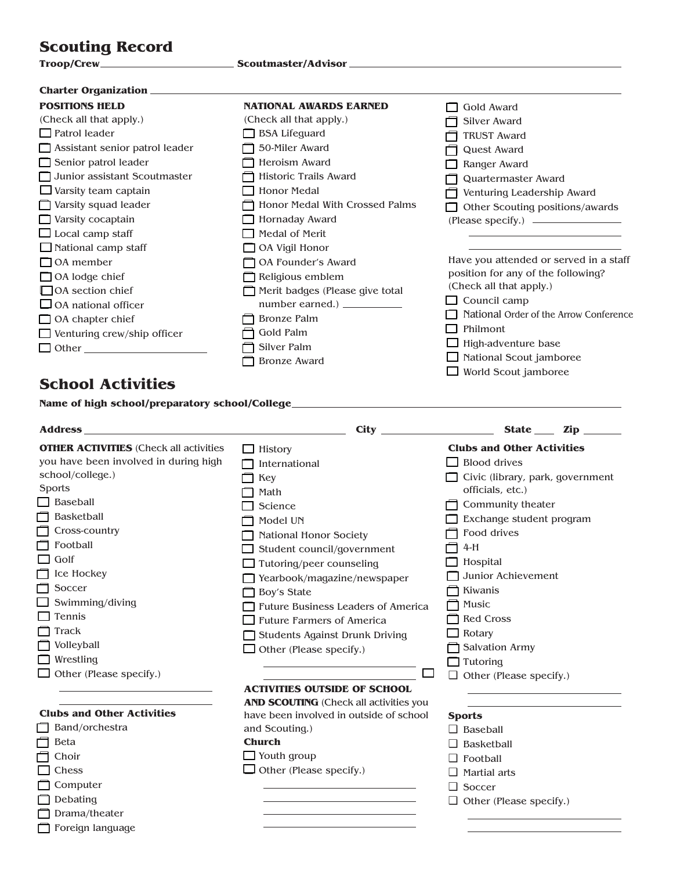# **Scouting Record**

| Charter Organization ______________   |                                 |                                        |  |
|---------------------------------------|---------------------------------|----------------------------------------|--|
| <b>POSITIONS HELD</b>                 | <b>NATIONAL AWARDS EARNED</b>   | Gold Award                             |  |
| (Check all that apply.)               | (Check all that apply.)         | Silver Award                           |  |
| $\Box$ Patrol leader                  | <b>BSA Lifeguard</b>            | <b>TRUST Award</b>                     |  |
| $\Box$ Assistant senior patrol leader | 50-Miler Award                  | Quest Award                            |  |
| Senior patrol leader                  | Heroism Award                   | Ranger Award                           |  |
| Junior assistant Scoutmaster          | Historic Trails Award           | Quartermaster Award                    |  |
| $\Box$ Varsity team captain           | <b>Honor Medal</b>              | Venturing Leadership Award             |  |
| $\Box$ Varsity squad leader           | Honor Medal With Crossed Palms  | Other Scouting positions/awards        |  |
| $\Box$ Varsity cocaptain              | Hornaday Award                  |                                        |  |
| $\Box$ Local camp staff               | Medal of Merit                  |                                        |  |
| $\Box$ National camp staff            | $\Box$ OA Vigil Honor           |                                        |  |
| $\Box$ OA member                      | OA Founder's Award              | Have you attended or served in a staff |  |
| $\Box$ OA lodge chief                 | Religious emblem                | position for any of the following?     |  |
| □ OA section chief                    | Merit badges (Please give total | (Check all that apply.)                |  |
| $\Box$ OA national officer            | number earned.) ____________    | Council camp                           |  |
| $\Box$ OA chapter chief               | <b>Bronze Palm</b>              | National Order of the Arrow Conference |  |
| $\Box$ Venturing crew/ship officer    | Gold Palm                       | Philmont                               |  |
| $\Box$ Other $\Box$                   | Silver Palm                     | High-adventure base                    |  |
|                                       | <b>Bronze Award</b>             | National Scout jamboree                |  |
|                                       |                                 | World Scout jamboree                   |  |

# **School Activities**

| <b>Address</b><br><u> 1989 - Johann Stein, mars an deutscher Stein und der Stein und der Stein und der Stein und der Stein und der</u> |                                               | State ____ Zip                    |  |
|----------------------------------------------------------------------------------------------------------------------------------------|-----------------------------------------------|-----------------------------------|--|
| <b>OTHER ACTIVITIES</b> (Check all activities                                                                                          | History                                       | <b>Clubs and Other Activities</b> |  |
| you have been involved in during high                                                                                                  | International                                 | <b>Blood drives</b>               |  |
| school/college.)                                                                                                                       | Civic (library, park, government<br>Key       |                                   |  |
| Sports                                                                                                                                 | Math                                          | officials, etc.)                  |  |
| Baseball                                                                                                                               | Science                                       | Community theater                 |  |
| Basketball                                                                                                                             | Model UN                                      | Exchange student program          |  |
| Cross-country                                                                                                                          | National Honor Society                        | Food drives                       |  |
| Football                                                                                                                               | Student council/government                    | $4-H$                             |  |
| Golf                                                                                                                                   | Tutoring/peer counseling                      | Hospital                          |  |
| Ice Hockey                                                                                                                             | Yearbook/magazine/newspaper                   | Junior Achievement                |  |
| Soccer                                                                                                                                 | Boy's State                                   | Kiwanis                           |  |
| Swimming/diving                                                                                                                        | <b>Future Business Leaders of America</b>     | Music                             |  |
| Tennis                                                                                                                                 | <b>Future Farmers of America</b>              | <b>Red Cross</b>                  |  |
| Track                                                                                                                                  | Students Against Drunk Driving                | Rotary                            |  |
| Volleyball                                                                                                                             | Other (Please specify.)                       | Salvation Army                    |  |
| Wrestling                                                                                                                              |                                               | $\Box$ Tutoring                   |  |
| Other (Please specify.)                                                                                                                | <b>Contract</b>                               | $\Box$ Other (Please specify.)    |  |
|                                                                                                                                        | <b>ACTIVITIES OUTSIDE OF SCHOOL</b>           |                                   |  |
|                                                                                                                                        | <b>AND SCOUTING (Check all activities you</b> |                                   |  |
| <b>Clubs and Other Activities</b>                                                                                                      | have been involved in outside of school       | <b>Sports</b>                     |  |
| Band/orchestra                                                                                                                         | and Scouting.)                                | $\Box$ Baseball                   |  |
| Beta                                                                                                                                   | <b>Church</b>                                 | $\Box$ Basketball                 |  |
| Choir                                                                                                                                  | $\Box$ Youth group                            | $\Box$ Football                   |  |
| Chess                                                                                                                                  | $\Box$ Other (Please specify.)                | Martial arts                      |  |
| Computer                                                                                                                               |                                               | $\Box$ Soccer                     |  |
| Debating                                                                                                                               |                                               | $\Box$ Other (Please specify.)    |  |
| Drama/theater                                                                                                                          |                                               |                                   |  |
| Foreign language                                                                                                                       |                                               |                                   |  |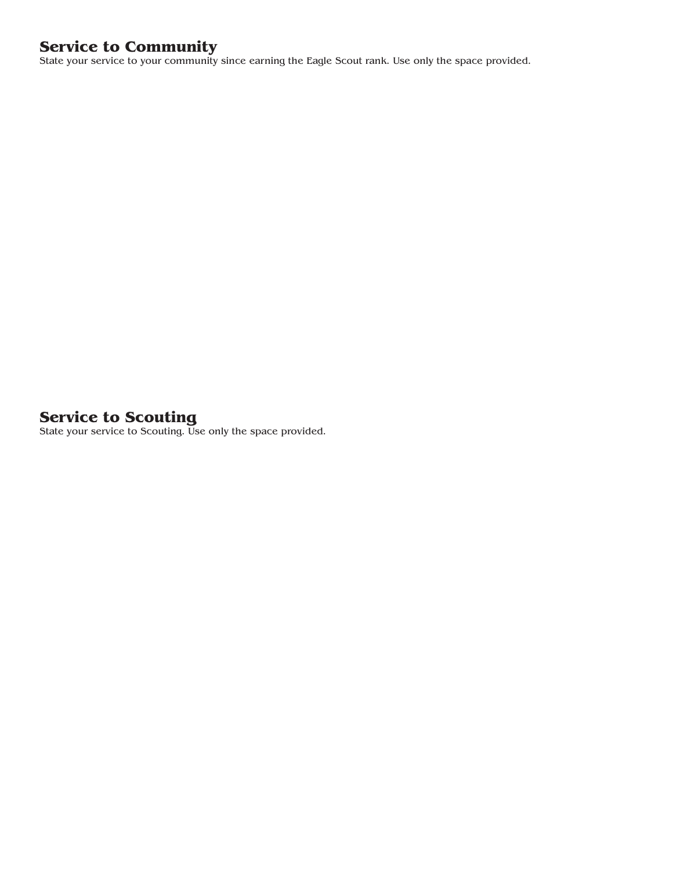# **Service to Community**

State your service to your community since earning the Eagle Scout rank. Use only the space provided.

## **Service to Scouting**

State your service to Scouting. Use only the space provided.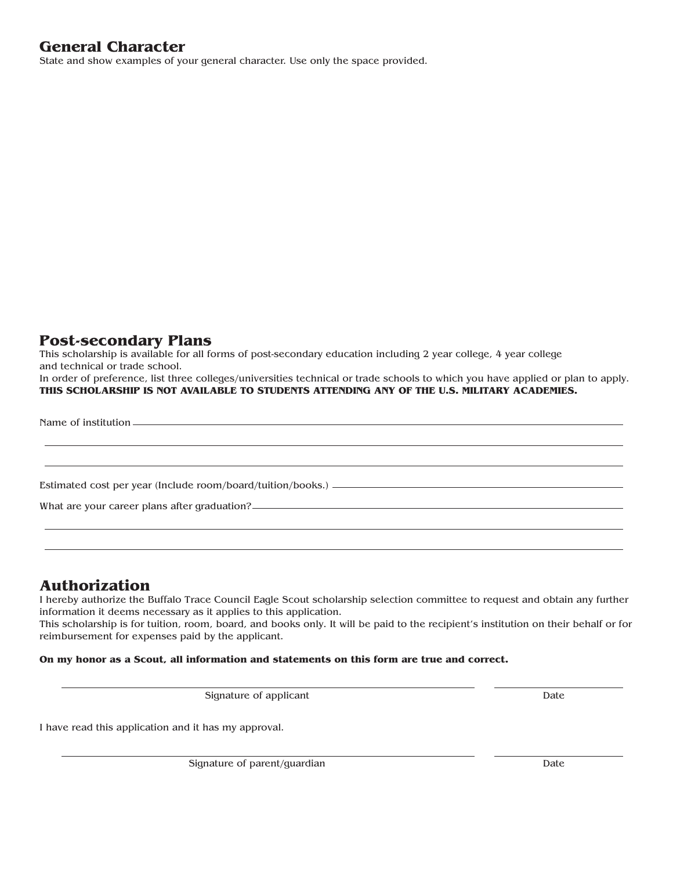## **General Character**

State and show examples of your general character. Use only the space provided.

## **Post-secondary Plans**

This scholarship is available for all forms of post-secondary education including 2 year college, 4 year college and technical or trade school.

In order of preference, list three colleges/universities technical or trade schools to which you have applied or plan to apply. **THIS SCHOLARSHIP IS NOT AVAILABLE TO STUDENTS ATTENDING ANY OF THE U.S. MILITARY ACADEMIES.**

Name of institution

Estimated cost per year (Include room/board/tuition/books.)

What are your career plans after graduation?

#### **Authorization**

I hereby authorize the Buffalo Trace Council Eagle Scout scholarship selection committee to request and obtain any further information it deems necessary as it applies to this application.

This scholarship is for tuition, room, board, and books only. It will be paid to the recipient's institution on their behalf or for reimbursement for expenses paid by the applicant.

#### **On my honor as a Scout, all information and statements on this form are true and correct.**

Signature of applicant Date

I have read this application and it has my approval.

Signature of parent/guardian Date by the Date of parent of parent of parent of parent of parent of  $\mathbf{D}$